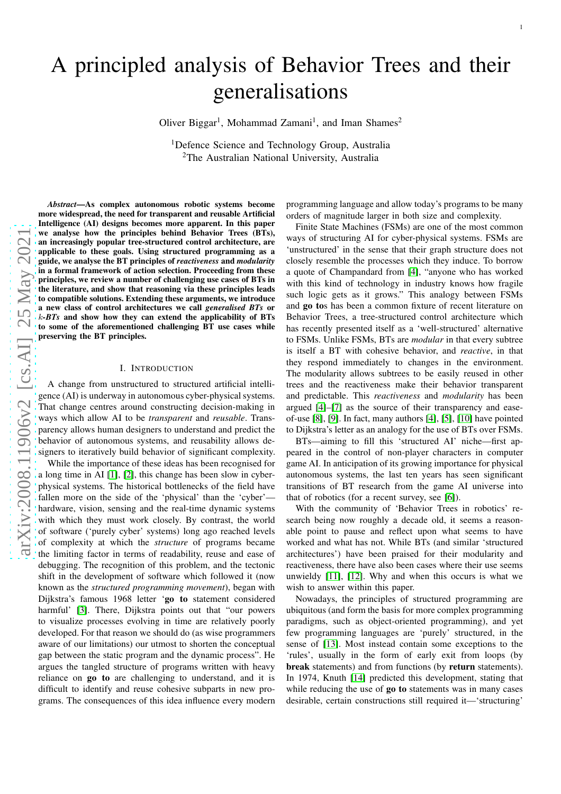# A principled analysis of Behavior Trees and their generalisations

Oliver Biggar<sup>1</sup>, Mohammad Zamani<sup>1</sup>, and Iman Shames<sup>2</sup>

<sup>1</sup>Defence Science and Technology Group, Australia <sup>2</sup>The Australian National University, Australia

*Abstract*—As complex autonomous robotic systems become more widespread, the need for transparent and reusable Artificial Intelligence (AI) designs becomes more apparent. In this paper we analyse how the principles behind Behavior Trees (BTs), an increasingly popular tree-structured control architecture, are applicable to these goals. Using structured programming as a guide, we analyse the BT principles of *reactiveness* and *modularity* in a formal framework of action selection. Proceeding from these principles, we review a number of challenging use cases of BTs in the literature, and show that reasoning via these principles leads to compatible solutions. Extending these arguments, we introduce a new class of control architectures we call *generalised BTs* or <sup>k</sup>*-BTs* and show how they can extend the applicability of BTs to some of the aforementioned challenging BT use cases while preserving the BT principles.

# I. INTRODUCTION

A change from unstructured to structured artificial intelli gence (AI) is underway in autonomous cyber-physical systems. That change centres around constructing decision-making i n ways which allow AI to be *transparent* and *reusable*. Transparency allows human designers to understand and predict the behavior of autonomous systems, and reusability allows designers to iteratively build behavior of significant complexity.

While the importance of these ideas has been recognised for a long time in AI [\[1\]](#page-11-0), [\[2\]](#page-11-1), this change has been slow in cyberphysical systems. The historical bottlenecks of the field have fallen more on the side of the 'physical' than the 'cyber'hardware, vision, sensing and the real-time dynamic system s with which they must work closely. By contrast, the world of software ('purely cyber' systems) long ago reached level s of complexity at which the *structure* of programs became the limiting factor in terms of readability, reuse and ease o f debugging. The recognition of this problem, and the tectoni c shift in the development of software which followed it (now known as the *structured programming movement*), began with Dijkstra's famous 1968 letter 'go to statement considered harmful' [\[3\]](#page-11-2). There, Dijkstra points out that "our powers" to visualize processes evolving in time are relatively poorly developed. For that reason we should do (as wise programmers aware of our limitations) our utmost to shorten the conceptual gap between the static program and the dynamic process". He argues the tangled structure of programs written with heavy reliance on go to are challenging to understand, and it is difficult to identify and reuse cohesive subparts in new programs. The consequences of this idea influence every modern

programming language and allow today's programs to be many orders of magnitude larger in both size and complexity.

1

Finite State Machines (FSMs) are one of the most common ways of structuring AI for cyber-physical systems. FSMs are 'unstructured' in the sense that their graph structure does not closely resemble the processes which they induce. To borrow a quote of Champandard from [\[4\]](#page-11-3), "anyone who has worked with this kind of technology in industry knows how fragile such logic gets as it grows." This analogy between FSMs and go tos has been a common fixture of recent literature on Behavior Trees, a tree-structured control architecture which has recently presented itself as a 'well-structured' alternative to FSMs. Unlike FSMs, BTs are *modular* in that every subtree is itself a BT with cohesive behavior, and *reactive*, in that they respond immediately to changes in the environment. The modularity allows subtrees to be easily reused in other trees and the reactiveness make their behavior transparent and predictable. This *reactiveness* and *modularity* has been argued [\[4\]](#page-11-3)–[\[7\]](#page-11-4) as the source of their transparency and easeof-use [\[8\]](#page-11-5), [\[9\]](#page-12-0). In fact, many authors [\[4\]](#page-11-3), [\[5\]](#page-11-6), [\[10\]](#page-12-1) have pointed to Dijkstra's letter as an analogy for the use of BTs over FSMs .

BTs—aiming to fill this 'structured AI' niche—first appeared in the control of non-player characters in computer game AI. In anticipation of its growing importance for physical autonomous systems, the last ten years has seen significant transitions of BT research from the game AI universe into that of robotics (for a recent survey, see [\[6\]](#page-11-7)).

With the community of 'Behavior Trees in robotics' research being now roughly a decade old, it seems a reasonable point to pause and reflect upon what seems to have worked and what has not. While BTs (and similar 'structured architectures') have been praised for their modularity and reactiveness, there have also been cases where their use seems unwieldy [\[11\]](#page-12-2), [\[12\]](#page-12-3). Why and when this occurs is what we wish to answer within this paper.

Nowadays, the principles of structured programming are ubiquitous (and form the basis for more complex programming paradigms, such as object-oriented programming), and yet few programming languages are 'purely' structured, in the sense of [\[13\]](#page-12-4). Most instead contain some exceptions to the 'rules', usually in the form of early exit from loops (by break statements) and from functions (by return statements). In 1974, Knuth [\[14\]](#page-12-5) predicted this development, stating tha t while reducing the use of **go to** statements was in many cases desirable, certain constructions still required it—'structuring'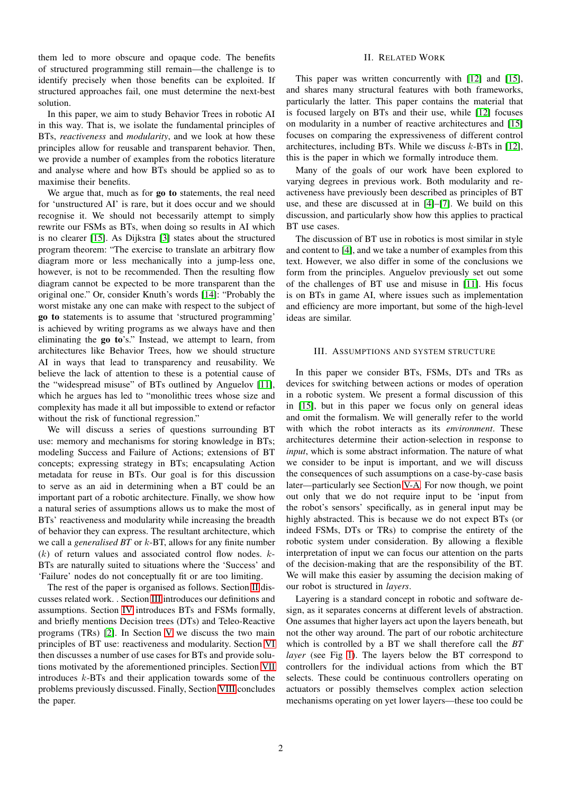them led to more obscure and opaque code. The benefits of structured programming still remain—the challenge is to identify precisely when those benefits can be exploited. If structured approaches fail, one must determine the next-best solution.

In this paper, we aim to study Behavior Trees in robotic AI in this way. That is, we isolate the fundamental principles of BTs, *reactiveness* and *modularity*, and we look at how these principles allow for reusable and transparent behavior. Then, we provide a number of examples from the robotics literature and analyse where and how BTs should be applied so as to maximise their benefits.

We argue that, much as for **go to** statements, the real need for 'unstructured AI' is rare, but it does occur and we should recognise it. We should not becessarily attempt to simply rewrite our FSMs as BTs, when doing so results in AI which is no clearer [\[15\]](#page-12-6). As Dijkstra [\[3\]](#page-11-2) states about the structured program theorem: "The exercise to translate an arbitrary flow diagram more or less mechanically into a jump-less one, however, is not to be recommended. Then the resulting flow diagram cannot be expected to be more transparent than the original one." Or, consider Knuth's words [\[14\]](#page-12-5): "Probably the worst mistake any one can make with respect to the subject of go to statements is to assume that 'structured programming' is achieved by writing programs as we always have and then eliminating the go to's." Instead, we attempt to learn, from architectures like Behavior Trees, how we should structure AI in ways that lead to transparency and reusability. We believe the lack of attention to these is a potential cause of the "widespread misuse" of BTs outlined by Anguelov [\[11\]](#page-12-2), which he argues has led to "monolithic trees whose size and complexity has made it all but impossible to extend or refactor without the risk of functional regression."

We will discuss a series of questions surrounding BT use: memory and mechanisms for storing knowledge in BTs; modeling Success and Failure of Actions; extensions of BT concepts; expressing strategy in BTs; encapsulating Action metadata for reuse in BTs. Our goal is for this discussion to serve as an aid in determining when a BT could be an important part of a robotic architecture. Finally, we show how a natural series of assumptions allows us to make the most of BTs' reactiveness and modularity while increasing the breadth of behavior they can express. The resultant architecture, which we call a *generalised BT* or k-BT, allows for any finite number  $(k)$  of return values and associated control flow nodes.  $k$ -BTs are naturally suited to situations where the 'Success' and 'Failure' nodes do not conceptually fit or are too limiting.

The rest of the paper is organised as follows. Section [II](#page-1-0) discusses related work. . Section [III](#page-1-1) introduces our definitions and assumptions. Section [IV](#page-2-0) introduces BTs and FSMs formally, and briefly mentions Decision trees (DTs) and Teleo-Reactive programs (TRs) [\[2\]](#page-11-1). In Section [V](#page-3-0) we discuss the two main principles of BT use: reactiveness and modularity. Section [VI](#page-4-0) then discusses a number of use cases for BTs and provide solutions motivated by the aforementioned principles. Section [VII](#page-10-0) introduces k-BTs and their application towards some of the problems previously discussed. Finally, Section [VIII](#page-11-8) concludes the paper.

# II. RELATED WORK

<span id="page-1-0"></span>This paper was written concurrently with [\[12\]](#page-12-3) and [\[15\]](#page-12-6), and shares many structural features with both frameworks, particularly the latter. This paper contains the material that is focused largely on BTs and their use, while [\[12\]](#page-12-3) focuses on modularity in a number of reactive architectures and [\[15\]](#page-12-6) focuses on comparing the expressiveness of different control architectures, including BTs. While we discuss  $k$ -BTs in [\[12\]](#page-12-3), this is the paper in which we formally introduce them.

Many of the goals of our work have been explored to varying degrees in previous work. Both modularity and reactiveness have previously been described as principles of BT use, and these are discussed at in [\[4\]](#page-11-3)–[\[7\]](#page-11-4). We build on this discussion, and particularly show how this applies to practical BT use cases.

The discussion of BT use in robotics is most similar in style and content to [\[4\]](#page-11-3), and we take a number of examples from this text. However, we also differ in some of the conclusions we form from the principles. Anguelov previously set out some of the challenges of BT use and misuse in [\[11\]](#page-12-2). His focus is on BTs in game AI, where issues such as implementation and efficiency are more important, but some of the high-level ideas are similar.

### <span id="page-1-1"></span>III. ASSUMPTIONS AND SYSTEM STRUCTURE

In this paper we consider BTs, FSMs, DTs and TRs as devices for switching between actions or modes of operation in a robotic system. We present a formal discussion of this in [\[15\]](#page-12-6), but in this paper we focus only on general ideas and omit the formalism. We will generally refer to the world with which the robot interacts as its *environment*. These architectures determine their action-selection in response to *input*, which is some abstract information. The nature of what we consider to be input is important, and we will discuss the consequences of such assumptions on a case-by-case basis later—particularly see Section [V-A.](#page-3-1) For now though, we point out only that we do not require input to be 'input from the robot's sensors' specifically, as in general input may be highly abstracted. This is because we do not expect BTs (or indeed FSMs, DTs or TRs) to comprise the entirety of the robotic system under consideration. By allowing a flexible interpretation of input we can focus our attention on the parts of the decision-making that are the responsibility of the BT. We will make this easier by assuming the decision making of our robot is structured in *layers*.

Layering is a standard concept in robotic and software design, as it separates concerns at different levels of abstraction. One assumes that higher layers act upon the layers beneath, but not the other way around. The part of our robotic architecture which is controlled by a BT we shall therefore call the *BT layer* (see Fig [1\)](#page-2-1). The layers below the BT correspond to controllers for the individual actions from which the BT selects. These could be continuous controllers operating on actuators or possibly themselves complex action selection mechanisms operating on yet lower layers—these too could be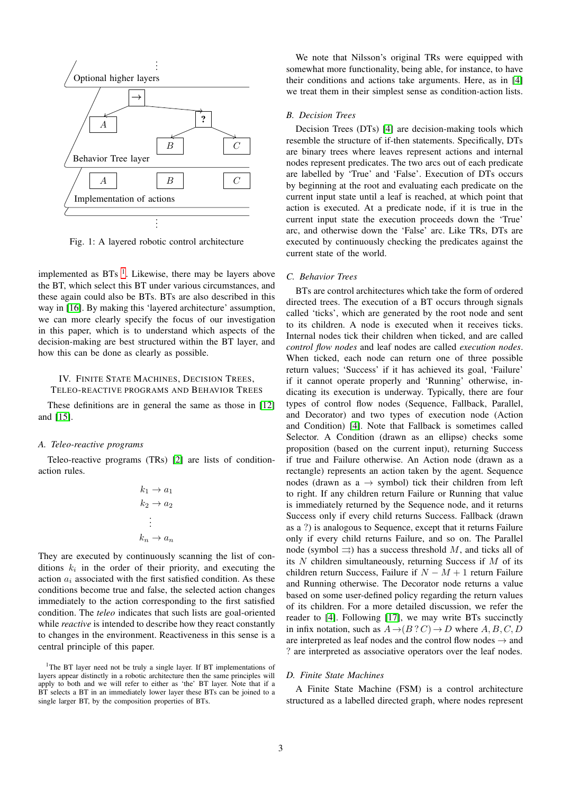<span id="page-2-1"></span>

Fig. 1: A layered robotic control architecture

implemented as  $BTs<sup>-1</sup>$  $BTs<sup>-1</sup>$  $BTs<sup>-1</sup>$ . Likewise, there may be layers above the BT, which select this BT under various circumstances, and these again could also be BTs. BTs are also described in this way in [\[16\]](#page-12-7). By making this 'layered architecture' assumption, we can more clearly specify the focus of our investigation in this paper, which is to understand which aspects of the decision-making are best structured within the BT layer, and how this can be done as clearly as possible.

# <span id="page-2-0"></span>IV. FINITE STATE MACHINES, DECISION TREES, TELEO-REACTIVE PROGRAMS AND BEHAVIOR TREES

These definitions are in general the same as those in [\[12\]](#page-12-3) and [\[15\]](#page-12-6).

### *A. Teleo-reactive programs*

Teleo-reactive programs (TRs) [\[2\]](#page-11-1) are lists of conditionaction rules.

$$
k_1 \to a_1
$$
  
\n
$$
k_2 \to a_2
$$
  
\n
$$
\vdots
$$
  
\n
$$
k_n \to a_n
$$

They are executed by continuously scanning the list of conditions  $k_i$  in the order of their priority, and executing the action  $a_i$  associated with the first satisfied condition. As these conditions become true and false, the selected action changes immediately to the action corresponding to the first satisfied condition. The *teleo* indicates that such lists are goal-oriented while *reactive* is intended to describe how they react constantly to changes in the environment. Reactiveness in this sense is a central principle of this paper.

We note that Nilsson's original TRs were equipped with somewhat more functionality, being able, for instance, to have their conditions and actions take arguments. Here, as in [\[4\]](#page-11-3) we treat them in their simplest sense as condition-action lists.

### *B. Decision Trees*

Decision Trees (DTs) [\[4\]](#page-11-3) are decision-making tools which resemble the structure of if-then statements. Specifically, DTs are binary trees where leaves represent actions and internal nodes represent predicates. The two arcs out of each predicate are labelled by 'True' and 'False'. Execution of DTs occurs by beginning at the root and evaluating each predicate on the current input state until a leaf is reached, at which point that action is executed. At a predicate node, if it is true in the current input state the execution proceeds down the 'True' arc, and otherwise down the 'False' arc. Like TRs, DTs are executed by continuously checking the predicates against the current state of the world.

## *C. Behavior Trees*

BTs are control architectures which take the form of ordered directed trees. The execution of a BT occurs through signals called 'ticks', which are generated by the root node and sent to its children. A node is executed when it receives ticks. Internal nodes tick their children when ticked, and are called *control flow nodes* and leaf nodes are called *execution nodes*. When ticked, each node can return one of three possible return values; 'Success' if it has achieved its goal, 'Failure' if it cannot operate properly and 'Running' otherwise, indicating its execution is underway. Typically, there are four types of control flow nodes (Sequence, Fallback, Parallel, and Decorator) and two types of execution node (Action and Condition) [\[4\]](#page-11-3). Note that Fallback is sometimes called Selector. A Condition (drawn as an ellipse) checks some proposition (based on the current input), returning Success if true and Failure otherwise. An Action node (drawn as a rectangle) represents an action taken by the agent. Sequence nodes (drawn as  $a \rightarrow$  symbol) tick their children from left to right. If any children return Failure or Running that value is immediately returned by the Sequence node, and it returns Success only if every child returns Success. Fallback (drawn as a ?) is analogous to Sequence, except that it returns Failure only if every child returns Failure, and so on. The Parallel node (symbol  $\Rightarrow$ ) has a success threshold M, and ticks all of its  $N$  children simultaneously, returning Success if  $M$  of its children return Success, Failure if  $N - M + 1$  return Failure and Running otherwise. The Decorator node returns a value based on some user-defined policy regarding the return values of its children. For a more detailed discussion, we refer the reader to [\[4\]](#page-11-3). Following [\[17\]](#page-12-8), we may write BTs succinctly in infix notation, such as  $A \rightarrow (B \, ? \, C) \rightarrow D$  where  $A, B, C, D$ are interpreted as leaf nodes and the control flow nodes  $\rightarrow$  and ? are interpreted as associative operators over the leaf nodes.

# *D. Finite State Machines*

A Finite State Machine (FSM) is a control architecture structured as a labelled directed graph, where nodes represent

<span id="page-2-2"></span><sup>&</sup>lt;sup>1</sup>The BT layer need not be truly a single layer. If BT implementations of layers appear distinctly in a robotic architecture then the same principles will apply to both and we will refer to either as 'the' BT layer. Note that if a BT selects a BT in an immediately lower layer these BTs can be joined to a single larger BT, by the composition properties of BTs.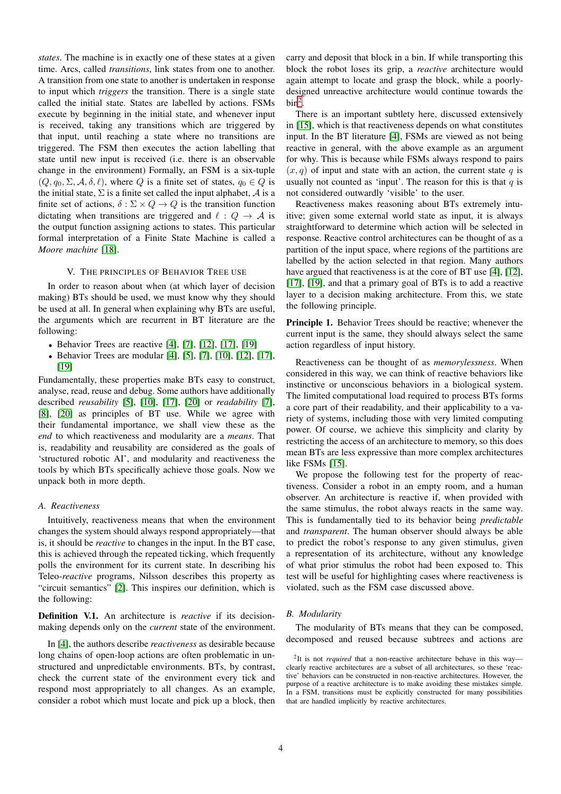*states*. The machine is in exactly one of these states at a given time. Arcs, called *transitions*, link states from one to another. A transition from one state to another is undertaken in response to input which *triggers* the transition. There is a single state called the initial state. States are labelled by actions. FSMs execute by beginning in the initial state, and whenever input is received, taking any transitions which are triggered by that input, until reaching a state where no transitions are triggered. The FSM then executes the action labelling that state until new input is received (i.e. there is an observable change in the environment) Formally, an FSM is a six-tuple  $(Q, q_0, \Sigma, \mathcal{A}, \delta, \ell)$ , where Q is a finite set of states,  $q_0 \in Q$  is the initial state,  $\Sigma$  is a finite set called the input alphabet,  $\mathcal A$  is a finite set of actions,  $\delta : \Sigma \times Q \to Q$  is the transition function dictating when transitions are triggered and  $\ell : Q \to A$  is the output function assigning actions to states. This particular formal interpretation of a Finite State Machine is called a *Moore machine* [\[18\]](#page-12-9).

## V. THE PRINCIPLES OF BEHAVIOR TREE USE

<span id="page-3-0"></span>In order to reason about when (at which layer of decision making) BTs should be used, we must know why they should be used at all. In general when explaining why BTs are useful, the arguments which are recurrent in BT literature are the following:

- Behavior Trees are reactive  $[4]$ ,  $[7]$ ,  $[12]$ ,  $[17]$ ,  $[19]$
- Behavior Trees are modular [\[4\]](#page-11-3), [\[5\]](#page-11-6), [\[7\]](#page-11-4), [\[10\]](#page-12-1), [\[12\]](#page-12-3), [\[17\]](#page-12-8), [\[19\]](#page-12-10)

Fundamentally, these properties make BTs easy to construct, analyse, read, reuse and debug. Some authors have additionally described *reusability* [\[5\]](#page-11-6), [\[10\]](#page-12-1), [\[17\]](#page-12-8), [\[20\]](#page-12-11) or *readability* [\[7\]](#page-11-4), [\[8\]](#page-11-5), [\[20\]](#page-12-11) as principles of BT use. While we agree with their fundamental importance, we shall view these as the *end* to which reactiveness and modularity are a *means*. That is, readability and reusability are considered as the goals of 'structured robotic AI', and modularity and reactiveness the tools by which BTs specifically achieve those goals. Now we unpack both in more depth.

## <span id="page-3-1"></span>*A. Reactiveness*

Intuitively, reactiveness means that when the environment changes the system should always respond appropriately—that is, it should be *reactive* to changes in the input. In the BT case, this is achieved through the repeated ticking, which frequently polls the environment for its current state. In describing his Teleo-*reactive* programs, Nilsson describes this property as "circuit semantics" [\[2\]](#page-11-1). This inspires our definition, which is the following:

Definition V.1. An architecture is *reactive* if its decisionmaking depends only on the *current* state of the environment.

In [\[4\]](#page-11-3), the authors describe *reactiveness* as desirable because long chains of open-loop actions are often problematic in unstructured and unpredictable environments. BTs, by contrast, check the current state of the environment every tick and respond most appropriately to all changes. As an example, consider a robot which must locate and pick up a block, then carry and deposit that block in a bin. If while transporting this block the robot loses its grip, a *reactive* architecture would again attempt to locate and grasp the block, while a poorlydesigned unreactive architecture would continue towards the  $bin<sup>2</sup>$  $bin<sup>2</sup>$  $bin<sup>2</sup>$ .

There is an important subtlety here, discussed extensively in [\[15\]](#page-12-6), which is that reactiveness depends on what constitutes input. In the BT literature [\[4\]](#page-11-3), FSMs are viewed as not being reactive in general, with the above example as an argument for why. This is because while FSMs always respond to pairs  $(x, q)$  of input and state with an action, the current state q is usually not counted as 'input'. The reason for this is that  $q$  is not considered outwardly 'visible' to the user.

Reactiveness makes reasoning about BTs extremely intuitive; given some external world state as input, it is always straightforward to determine which action will be selected in response. Reactive control architectures can be thought of as a partition of the input space, where regions of the partitions are labelled by the action selected in that region. Many authors have argued that reactiveness is at the core of BT use [\[4\]](#page-11-3), [\[12\]](#page-12-3), [\[17\]](#page-12-8), [\[19\]](#page-12-10), and that a primary goal of BTs is to add a reactive layer to a decision making architecture. From this, we state the following principle.

Principle 1. Behavior Trees should be reactive; whenever the current input is the same, they should always select the same action regardless of input history.

Reactiveness can be thought of as *memorylessness*. When considered in this way, we can think of reactive behaviors like instinctive or unconscious behaviors in a biological system. The limited computational load required to process BTs forms a core part of their readability, and their applicability to a variety of systems, including those with very limited computing power. Of course, we achieve this simplicity and clarity by restricting the access of an architecture to memory, so this does mean BTs are less expressive than more complex architectures like FSMs [\[15\]](#page-12-6).

We propose the following test for the property of reactiveness. Consider a robot in an empty room, and a human observer. An architecture is reactive if, when provided with the same stimulus, the robot always reacts in the same way. This is fundamentally tied to its behavior being *predictable* and *transparent*. The human observer should always be able to predict the robot's response to any given stimulus, given a representation of its architecture, without any knowledge of what prior stimulus the robot had been exposed to. This test will be useful for highlighting cases where reactiveness is violated, such as the FSM case discussed above.

# *B. Modularity*

The modularity of BTs means that they can be composed, decomposed and reused because subtrees and actions are

<span id="page-3-2"></span><sup>&</sup>lt;sup>2</sup>It is not *required* that a non-reactive architecture behave in this way clearly reactive architectures are a subset of all architectures, so these 'reactive' behaviors can be constructed in non-reactive architectures. However, the purpose of a reactive architecture is to make avoiding these mistakes simple. In a FSM, transitions must be explicitly constructed for many possibilities that are handled implicitly by reactive architectures.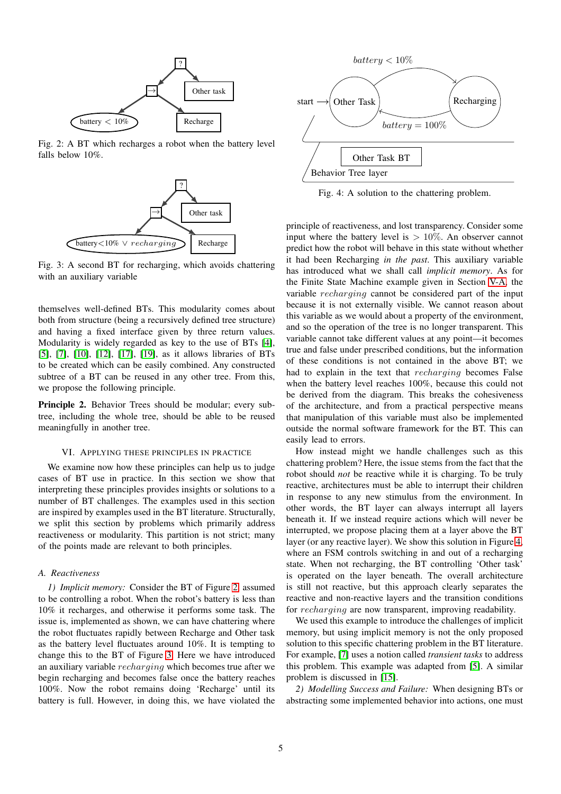<span id="page-4-1"></span>

<span id="page-4-2"></span>Fig. 2: A BT which recharges a robot when the battery level falls below 10%.



Fig. 3: A second BT for recharging, which avoids chattering with an auxiliary variable

themselves well-defined BTs. This modularity comes about both from structure (being a recursively defined tree structure) and having a fixed interface given by three return values. Modularity is widely regarded as key to the use of BTs [\[4\]](#page-11-3), [\[5\]](#page-11-6), [\[7\]](#page-11-4), [\[10\]](#page-12-1), [\[12\]](#page-12-3), [\[17\]](#page-12-8), [\[19\]](#page-12-10), as it allows libraries of BTs to be created which can be easily combined. Any constructed subtree of a BT can be reused in any other tree. From this, we propose the following principle.

Principle 2. Behavior Trees should be modular; every subtree, including the whole tree, should be able to be reused meaningfully in another tree.

## VI. APPLYING THESE PRINCIPLES IN PRACTICE

<span id="page-4-0"></span>We examine now how these principles can help us to judge cases of BT use in practice. In this section we show that interpreting these principles provides insights or solutions to a number of BT challenges. The examples used in this section are inspired by examples used in the BT literature. Structurally, we split this section by problems which primarily address reactiveness or modularity. This partition is not strict; many of the points made are relevant to both principles.

#### *A. Reactiveness*

*1) Implicit memory:* Consider the BT of Figure [2,](#page-4-1) assumed to be controlling a robot. When the robot's battery is less than 10% it recharges, and otherwise it performs some task. The issue is, implemented as shown, we can have chattering where the robot fluctuates rapidly between Recharge and Other task as the battery level fluctuates around 10%. It is tempting to change this to the BT of Figure [3.](#page-4-2) Here we have introduced an auxiliary variable recharging which becomes true after we begin recharging and becomes false once the battery reaches 100%. Now the robot remains doing 'Recharge' until its battery is full. However, in doing this, we have violated the

<span id="page-4-3"></span>

Fig. 4: A solution to the chattering problem.

principle of reactiveness, and lost transparency. Consider some input where the battery level is  $> 10\%$ . An observer cannot predict how the robot will behave in this state without whether it had been Recharging *in the past*. This auxiliary variable has introduced what we shall call *implicit memory*. As for the Finite State Machine example given in Section [V-A,](#page-3-1) the variable recharging cannot be considered part of the input because it is not externally visible. We cannot reason about this variable as we would about a property of the environment, and so the operation of the tree is no longer transparent. This variable cannot take different values at any point—it becomes true and false under prescribed conditions, but the information of these conditions is not contained in the above BT; we had to explain in the text that *recharging* becomes False when the battery level reaches 100%, because this could not be derived from the diagram. This breaks the cohesiveness of the architecture, and from a practical perspective means that manipulation of this variable must also be implemented outside the normal software framework for the BT. This can easily lead to errors.

How instead might we handle challenges such as this chattering problem? Here, the issue stems from the fact that the robot should *not* be reactive while it is charging. To be truly reactive, architectures must be able to interrupt their children in response to any new stimulus from the environment. In other words, the BT layer can always interrupt all layers beneath it. If we instead require actions which will never be interrupted, we propose placing them at a layer above the BT layer (or any reactive layer). We show this solution in Figure [4,](#page-4-3) where an FSM controls switching in and out of a recharging state. When not recharging, the BT controlling 'Other task' is operated on the layer beneath. The overall architecture is still not reactive, but this approach clearly separates the reactive and non-reactive layers and the transition conditions for recharging are now transparent, improving readability.

We used this example to introduce the challenges of implicit memory, but using implicit memory is not the only proposed solution to this specific chattering problem in the BT literature. For example, [\[7\]](#page-11-4) uses a notion called *transient tasks* to address this problem. This example was adapted from [\[5\]](#page-11-6). A similar problem is discussed in [\[15\]](#page-12-6).

<span id="page-4-4"></span>*2) Modelling Success and Failure:* When designing BTs or abstracting some implemented behavior into actions, one must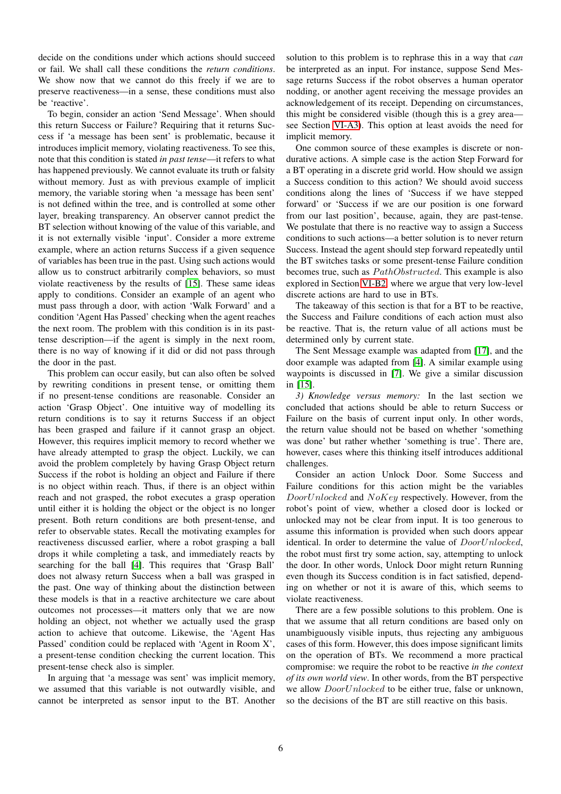decide on the conditions under which actions should succeed or fail. We shall call these conditions the *return conditions*. We show now that we cannot do this freely if we are to preserve reactiveness—in a sense, these conditions must also be 'reactive'.

To begin, consider an action 'Send Message'. When should this return Success or Failure? Requiring that it returns Success if 'a message has been sent' is problematic, because it introduces implicit memory, violating reactiveness. To see this, note that this condition is stated *in past tense*—it refers to what has happened previously. We cannot evaluate its truth or falsity without memory. Just as with previous example of implicit memory, the variable storing when 'a message has been sent' is not defined within the tree, and is controlled at some other layer, breaking transparency. An observer cannot predict the BT selection without knowing of the value of this variable, and it is not externally visible 'input'. Consider a more extreme example, where an action returns Success if a given sequence of variables has been true in the past. Using such actions would allow us to construct arbitrarily complex behaviors, so must violate reactiveness by the results of [\[15\]](#page-12-6). These same ideas apply to conditions. Consider an example of an agent who must pass through a door, with action 'Walk Forward' and a condition 'Agent Has Passed' checking when the agent reaches the next room. The problem with this condition is in its pasttense description—if the agent is simply in the next room, there is no way of knowing if it did or did not pass through the door in the past.

This problem can occur easily, but can also often be solved by rewriting conditions in present tense, or omitting them if no present-tense conditions are reasonable. Consider an action 'Grasp Object'. One intuitive way of modelling its return conditions is to say it returns Success if an object has been grasped and failure if it cannot grasp an object. However, this requires implicit memory to record whether we have already attempted to grasp the object. Luckily, we can avoid the problem completely by having Grasp Object return Success if the robot is holding an object and Failure if there is no object within reach. Thus, if there is an object within reach and not grasped, the robot executes a grasp operation until either it is holding the object or the object is no longer present. Both return conditions are both present-tense, and refer to observable states. Recall the motivating examples for reactiveness discussed earlier, where a robot grasping a ball drops it while completing a task, and immediately reacts by searching for the ball [\[4\]](#page-11-3). This requires that 'Grasp Ball' does not alwasy return Success when a ball was grasped in the past. One way of thinking about the distinction between these models is that in a reactive architecture we care about outcomes not processes—it matters only that we are now holding an object, not whether we actually used the grasp action to achieve that outcome. Likewise, the 'Agent Has Passed' condition could be replaced with 'Agent in Room X', a present-tense condition checking the current location. This present-tense check also is simpler.

In arguing that 'a message was sent' was implicit memory, we assumed that this variable is not outwardly visible, and cannot be interpreted as sensor input to the BT. Another

solution to this problem is to rephrase this in a way that *can* be interpreted as an input. For instance, suppose Send Message returns Success if the robot observes a human operator nodding, or another agent receiving the message provides an acknowledgement of its receipt. Depending on circumstances, this might be considered visible (though this is a grey area see Section [VI-A3\)](#page-5-0). This option at least avoids the need for implicit memory.

One common source of these examples is discrete or nondurative actions. A simple case is the action Step Forward for a BT operating in a discrete grid world. How should we assign a Success condition to this action? We should avoid success conditions along the lines of 'Success if we have stepped forward' or 'Success if we are our position is one forward from our last position', because, again, they are past-tense. We postulate that there is no reactive way to assign a Success conditions to such actions—a better solution is to never return Success. Instead the agent should step forward repeatedly until the BT switches tasks or some present-tense Failure condition becomes true, such as  $PathObstructed$ . This example is also explored in Section [VI-B2,](#page-8-0) where we argue that very low-level discrete actions are hard to use in BTs.

The takeaway of this section is that for a BT to be reactive, the Success and Failure conditions of each action must also be reactive. That is, the return value of all actions must be determined only by current state.

The Sent Message example was adapted from [\[17\]](#page-12-8), and the door example was adapted from [\[4\]](#page-11-3). A similar example using waypoints is discussed in [\[7\]](#page-11-4). We give a similar discussion in [\[15\]](#page-12-6).

<span id="page-5-0"></span>*3) Knowledge versus memory:* In the last section we concluded that actions should be able to return Success or Failure on the basis of current input only. In other words, the return value should not be based on whether 'something was done' but rather whether 'something is true'. There are, however, cases where this thinking itself introduces additional challenges.

Consider an action Unlock Door. Some Success and Failure conditions for this action might be the variables DoorUnlocked and NoKey respectively. However, from the robot's point of view, whether a closed door is locked or unlocked may not be clear from input. It is too generous to assume this information is provided when such doors appear identical. In order to determine the value of  $DoorUnlocked$ , the robot must first try some action, say, attempting to unlock the door. In other words, Unlock Door might return Running even though its Success condition is in fact satisfied, depending on whether or not it is aware of this, which seems to violate reactiveness.

There are a few possible solutions to this problem. One is that we assume that all return conditions are based only on unambiguously visible inputs, thus rejecting any ambiguous cases of this form. However, this does impose significant limits on the operation of BTs. We recommend a more practical compromise: we require the robot to be reactive *in the context of its own world view*. In other words, from the BT perspective we allow  $DoorUnlocked$  to be either true, false or unknown, so the decisions of the BT are still reactive on this basis.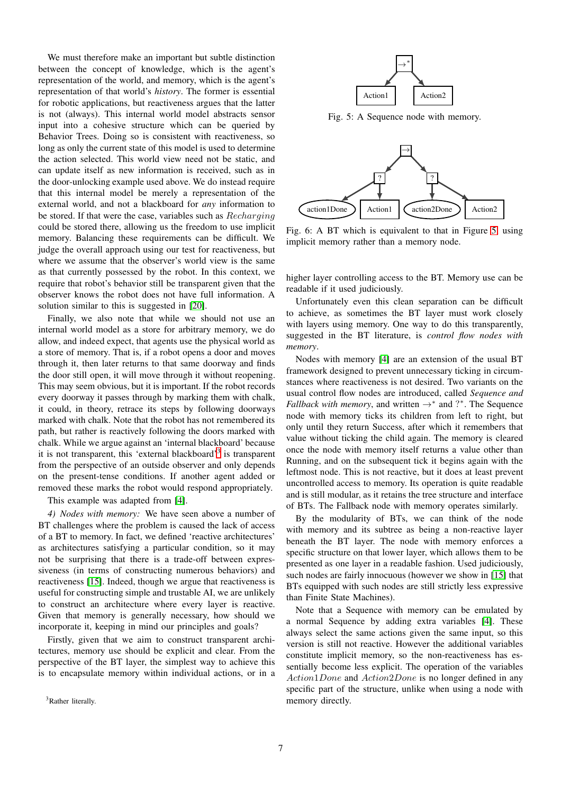We must therefore make an important but subtle distinction between the concept of knowledge, which is the agent's representation of the world, and memory, which is the agent's representation of that world's *history*. The former is essential for robotic applications, but reactiveness argues that the latter is not (always). This internal world model abstracts sensor input into a cohesive structure which can be queried by Behavior Trees. Doing so is consistent with reactiveness, so long as only the current state of this model is used to determine the action selected. This world view need not be static, and can update itself as new information is received, such as in the door-unlocking example used above. We do instead require that this internal model be merely a representation of the external world, and not a blackboard for *any* information to be stored. If that were the case, variables such as Recharging could be stored there, allowing us the freedom to use implicit memory. Balancing these requirements can be difficult. We judge the overall approach using our test for reactiveness, but where we assume that the observer's world view is the same as that currently possessed by the robot. In this context, we require that robot's behavior still be transparent given that the observer knows the robot does not have full information. A solution similar to this is suggested in [\[20\]](#page-12-11).

Finally, we also note that while we should not use an internal world model as a store for arbitrary memory, we do allow, and indeed expect, that agents use the physical world as a store of memory. That is, if a robot opens a door and moves through it, then later returns to that same doorway and finds the door still open, it will move through it without reopening. This may seem obvious, but it is important. If the robot records every doorway it passes through by marking them with chalk, it could, in theory, retrace its steps by following doorways marked with chalk. Note that the robot has not remembered its path, but rather is reactively following the doors marked with chalk. While we argue against an 'internal blackboard' because it is not transparent, this 'external blackboard'<sup>[3](#page-6-0)</sup> is transparent from the perspective of an outside observer and only depends on the present-tense conditions. If another agent added or removed these marks the robot would respond appropriately.

This example was adapted from [\[4\]](#page-11-3).

*4) Nodes with memory:* We have seen above a number of BT challenges where the problem is caused the lack of access of a BT to memory. In fact, we defined 'reactive architectures' as architectures satisfying a particular condition, so it may not be surprising that there is a trade-off between expressiveness (in terms of constructing numerous behaviors) and reactiveness [\[15\]](#page-12-6). Indeed, though we argue that reactiveness is useful for constructing simple and trustable AI, we are unlikely to construct an architecture where every layer is reactive. Given that memory is generally necessary, how should we incorporate it, keeping in mind our principles and goals?

Firstly, given that we aim to construct transparent architectures, memory use should be explicit and clear. From the perspective of the BT layer, the simplest way to achieve this is to encapsulate memory within individual actions, or in a

<span id="page-6-0"></span><sup>3</sup>Rather literally.

<span id="page-6-1"></span>

Fig. 5: A Sequence node with memory.



Fig. 6: A BT which is equivalent to that in Figure [5,](#page-6-1) using implicit memory rather than a memory node.

higher layer controlling access to the BT. Memory use can be readable if it used judiciously.

Unfortunately even this clean separation can be difficult to achieve, as sometimes the BT layer must work closely with layers using memory. One way to do this transparently, suggested in the BT literature, is *control flow nodes with memory*.

Nodes with memory [\[4\]](#page-11-3) are an extension of the usual BT framework designed to prevent unnecessary ticking in circumstances where reactiveness is not desired. Two variants on the usual control flow nodes are introduced, called *Sequence and Fallback with memory*, and written  $\rightarrow^*$  and ?\*. The Sequence node with memory ticks its children from left to right, but only until they return Success, after which it remembers that value without ticking the child again. The memory is cleared once the node with memory itself returns a value other than Running, and on the subsequent tick it begins again with the leftmost node. This is not reactive, but it does at least prevent uncontrolled access to memory. Its operation is quite readable and is still modular, as it retains the tree structure and interface of BTs. The Fallback node with memory operates similarly.

By the modularity of BTs, we can think of the node with memory and its subtree as being a non-reactive layer beneath the BT layer. The node with memory enforces a specific structure on that lower layer, which allows them to be presented as one layer in a readable fashion. Used judiciously, such nodes are fairly innocuous (however we show in [\[15\]](#page-12-6) that BTs equipped with such nodes are still strictly less expressive than Finite State Machines).

Note that a Sequence with memory can be emulated by a normal Sequence by adding extra variables [\[4\]](#page-11-3). These always select the same actions given the same input, so this version is still not reactive. However the additional variables constitute implicit memory, so the non-reactiveness has essentially become less explicit. The operation of the variables Action1Done and Action2Done is no longer defined in any specific part of the structure, unlike when using a node with memory directly.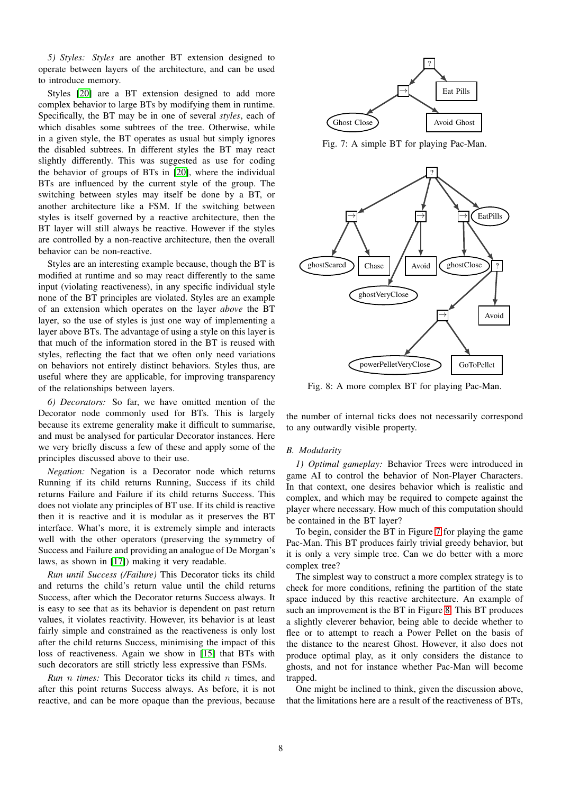*5) Styles: Styles* are another BT extension designed to operate between layers of the architecture, and can be used to introduce memory.

Styles [\[20\]](#page-12-11) are a BT extension designed to add more complex behavior to large BTs by modifying them in runtime. Specifically, the BT may be in one of several *styles*, each of which disables some subtrees of the tree. Otherwise, while in a given style, the BT operates as usual but simply ignores the disabled subtrees. In different styles the BT may react slightly differently. This was suggested as use for coding the behavior of groups of BTs in [\[20\]](#page-12-11), where the individual BTs are influenced by the current style of the group. The switching between styles may itself be done by a BT, or another architecture like a FSM. If the switching between styles is itself governed by a reactive architecture, then the BT layer will still always be reactive. However if the styles are controlled by a non-reactive architecture, then the overall behavior can be non-reactive.

Styles are an interesting example because, though the BT is modified at runtime and so may react differently to the same input (violating reactiveness), in any specific individual style none of the BT principles are violated. Styles are an example of an extension which operates on the layer *above* the BT layer, so the use of styles is just one way of implementing a layer above BTs. The advantage of using a style on this layer is that much of the information stored in the BT is reused with styles, reflecting the fact that we often only need variations on behaviors not entirely distinct behaviors. Styles thus, are useful where they are applicable, for improving transparency of the relationships between layers.

*6) Decorators:* So far, we have omitted mention of the Decorator node commonly used for BTs. This is largely because its extreme generality make it difficult to summarise, and must be analysed for particular Decorator instances. Here we very briefly discuss a few of these and apply some of the principles discussed above to their use.

*Negation:* Negation is a Decorator node which returns Running if its child returns Running, Success if its child returns Failure and Failure if its child returns Success. This does not violate any principles of BT use. If its child is reactive then it is reactive and it is modular as it preserves the BT interface. What's more, it is extremely simple and interacts well with the other operators (preserving the symmetry of Success and Failure and providing an analogue of De Morgan's laws, as shown in [\[17\]](#page-12-8)) making it very readable.

*Run until Success (/Failure)* This Decorator ticks its child and returns the child's return value until the child returns Success, after which the Decorator returns Success always. It is easy to see that as its behavior is dependent on past return values, it violates reactivity. However, its behavior is at least fairly simple and constrained as the reactiveness is only lost after the child returns Success, minimising the impact of this loss of reactiveness. Again we show in [\[15\]](#page-12-6) that BTs with such decorators are still strictly less expressive than FSMs.

*Run* n *times:* This Decorator ticks its child n times, and after this point returns Success always. As before, it is not reactive, and can be more opaque than the previous, because

<span id="page-7-0"></span>

Fig. 7: A simple BT for playing Pac-Man.

<span id="page-7-1"></span>

Fig. 8: A more complex BT for playing Pac-Man.

the number of internal ticks does not necessarily correspond to any outwardly visible property.

## *B. Modularity*

*1) Optimal gameplay:* Behavior Trees were introduced in game AI to control the behavior of Non-Player Characters. In that context, one desires behavior which is realistic and complex, and which may be required to compete against the player where necessary. How much of this computation should be contained in the BT layer?

To begin, consider the BT in Figure [7](#page-7-0) for playing the game Pac-Man. This BT produces fairly trivial greedy behavior, but it is only a very simple tree. Can we do better with a more complex tree?

The simplest way to construct a more complex strategy is to check for more conditions, refining the partition of the state space induced by this reactive architecture. An example of such an improvement is the BT in Figure [8.](#page-7-1) This BT produces a slightly cleverer behavior, being able to decide whether to flee or to attempt to reach a Power Pellet on the basis of the distance to the nearest Ghost. However, it also does not produce optimal play, as it only considers the distance to ghosts, and not for instance whether Pac-Man will become trapped.

One might be inclined to think, given the discussion above, that the limitations here are a result of the reactiveness of BTs,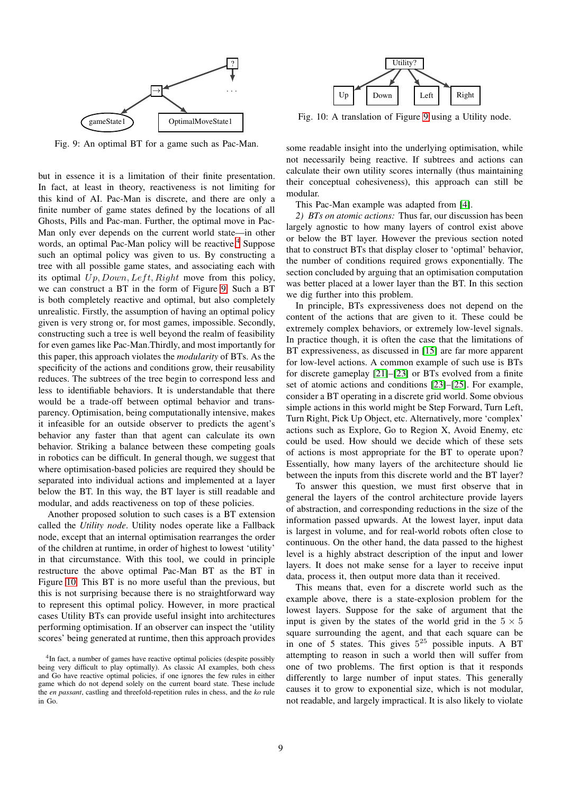<span id="page-8-2"></span>

Fig. 9: An optimal BT for a game such as Pac-Man.

but in essence it is a limitation of their finite presentation. In fact, at least in theory, reactiveness is not limiting for this kind of AI. Pac-Man is discrete, and there are only a finite number of game states defined by the locations of all Ghosts, Pills and Pac-man. Further, the optimal move in Pac-Man only ever depends on the current world state—in other words, an optimal Pac-Man policy will be reactive.<sup>[4](#page-8-1)</sup> Suppose such an optimal policy was given to us. By constructing a tree with all possible game states, and associating each with its optimal  $Up, Down, Left, Right$  move from this policy, we can construct a BT in the form of Figure [9.](#page-8-2) Such a BT is both completely reactive and optimal, but also completely unrealistic. Firstly, the assumption of having an optimal policy given is very strong or, for most games, impossible. Secondly, constructing such a tree is well beyond the realm of feasibility for even games like Pac-Man.Thirdly, and most importantly for this paper, this approach violates the *modularity* of BTs. As the specificity of the actions and conditions grow, their reusability reduces. The subtrees of the tree begin to correspond less and less to identifiable behaviors. It is understandable that there would be a trade-off between optimal behavior and transparency. Optimisation, being computationally intensive, makes it infeasible for an outside observer to predicts the agent's behavior any faster than that agent can calculate its own behavior. Striking a balance between these competing goals in robotics can be difficult. In general though, we suggest that where optimisation-based policies are required they should be separated into individual actions and implemented at a layer below the BT. In this way, the BT layer is still readable and modular, and adds reactiveness on top of these policies.

Another proposed solution to such cases is a BT extension called the *Utility node*. Utility nodes operate like a Fallback node, except that an internal optimisation rearranges the order of the children at runtime, in order of highest to lowest 'utility' in that circumstance. With this tool, we could in principle restructure the above optimal Pac-Man BT as the BT in Figure [10.](#page-8-3) This BT is no more useful than the previous, but this is not surprising because there is no straightforward way to represent this optimal policy. However, in more practical cases Utility BTs can provide useful insight into architectures performing optimisation. If an observer can inspect the 'utility scores' being generated at runtime, then this approach provides

<span id="page-8-3"></span>

Fig. 10: A translation of Figure [9](#page-8-2) using a Utility node.

some readable insight into the underlying optimisation, while not necessarily being reactive. If subtrees and actions can calculate their own utility scores internally (thus maintaining their conceptual cohesiveness), this approach can still be modular.

<span id="page-8-0"></span>This Pac-Man example was adapted from [\[4\]](#page-11-3).

*2) BTs on atomic actions:* Thus far, our discussion has been largely agnostic to how many layers of control exist above or below the BT layer. However the previous section noted that to construct BTs that display closer to 'optimal' behavior, the number of conditions required grows exponentially. The section concluded by arguing that an optimisation computation was better placed at a lower layer than the BT. In this section we dig further into this problem.

In principle, BTs expressiveness does not depend on the content of the actions that are given to it. These could be extremely complex behaviors, or extremely low-level signals. In practice though, it is often the case that the limitations of BT expressiveness, as discussed in [\[15\]](#page-12-6) are far more apparent for low-level actions. A common example of such use is BTs for discrete gameplay [\[21\]](#page-12-12)–[\[23\]](#page-12-13) or BTs evolved from a finite set of atomic actions and conditions [\[23\]](#page-12-13)–[\[25\]](#page-12-14). For example, consider a BT operating in a discrete grid world. Some obvious simple actions in this world might be Step Forward, Turn Left, Turn Right, Pick Up Object, etc. Alternatively, more 'complex' actions such as Explore, Go to Region X, Avoid Enemy, etc could be used. How should we decide which of these sets of actions is most appropriate for the BT to operate upon? Essentially, how many layers of the architecture should lie between the inputs from this discrete world and the BT layer?

To answer this question, we must first observe that in general the layers of the control architecture provide layers of abstraction, and corresponding reductions in the size of the information passed upwards. At the lowest layer, input data is largest in volume, and for real-world robots often close to continuous. On the other hand, the data passed to the highest level is a highly abstract description of the input and lower layers. It does not make sense for a layer to receive input data, process it, then output more data than it received.

This means that, even for a discrete world such as the example above, there is a state-explosion problem for the lowest layers. Suppose for the sake of argument that the input is given by the states of the world grid in the  $5 \times 5$ square surrounding the agent, and that each square can be in one of 5 states. This gives  $5^{25}$  possible inputs. A BT attempting to reason in such a world then will suffer from one of two problems. The first option is that it responds differently to large number of input states. This generally causes it to grow to exponential size, which is not modular, not readable, and largely impractical. It is also likely to violate

<span id="page-8-1"></span><sup>&</sup>lt;sup>4</sup>In fact, a number of games have reactive optimal policies (despite possibly being very difficult to play optimally). As classic AI examples, both chess and Go have reactive optimal policies, if one ignores the few rules in either game which do not depend solely on the current board state. These include the *en passant*, castling and threefold-repetition rules in chess, and the *ko* rule in Go.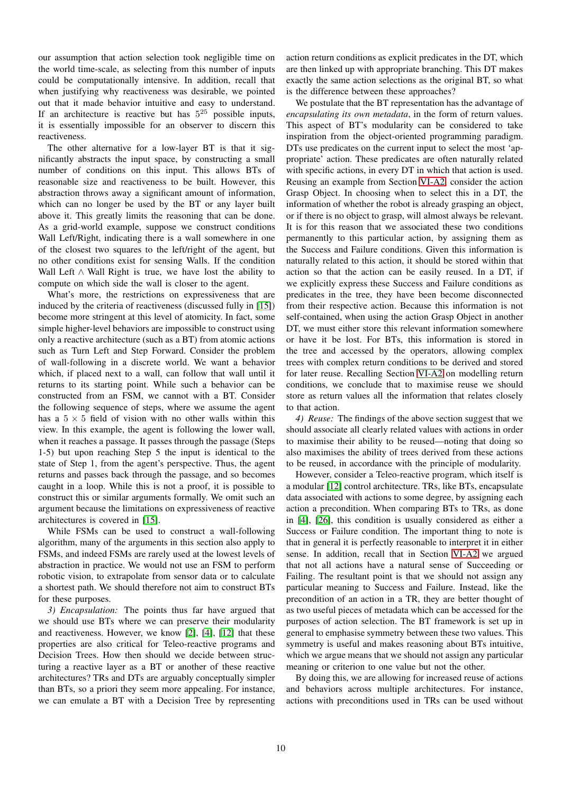our assumption that action selection took negligible time on the world time-scale, as selecting from this number of inputs could be computationally intensive. In addition, recall that when justifying why reactiveness was desirable, we pointed out that it made behavior intuitive and easy to understand. If an architecture is reactive but has  $5^{25}$  possible inputs, it is essentially impossible for an observer to discern this reactiveness.

The other alternative for a low-layer BT is that it significantly abstracts the input space, by constructing a small number of conditions on this input. This allows BTs of reasonable size and reactiveness to be built. However, this abstraction throws away a significant amount of information, which can no longer be used by the BT or any layer built above it. This greatly limits the reasoning that can be done. As a grid-world example, suppose we construct conditions Wall Left/Right, indicating there is a wall somewhere in one of the closest two squares to the left/right of the agent, but no other conditions exist for sensing Walls. If the condition Wall Left ∧ Wall Right is true, we have lost the ability to compute on which side the wall is closer to the agent.

What's more, the restrictions on expressiveness that are induced by the criteria of reactiveness (discussed fully in [\[15\]](#page-12-6)) become more stringent at this level of atomicity. In fact, some simple higher-level behaviors are impossible to construct using only a reactive architecture (such as a BT) from atomic actions such as Turn Left and Step Forward. Consider the problem of wall-following in a discrete world. We want a behavior which, if placed next to a wall, can follow that wall until it returns to its starting point. While such a behavior can be constructed from an FSM, we cannot with a BT. Consider the following sequence of steps, where we assume the agent has a  $5 \times 5$  field of vision with no other walls within this view. In this example, the agent is following the lower wall, when it reaches a passage. It passes through the passage (Steps 1-5) but upon reaching Step 5 the input is identical to the state of Step 1, from the agent's perspective. Thus, the agent returns and passes back through the passage, and so becomes caught in a loop. While this is not a proof, it is possible to construct this or similar arguments formally. We omit such an argument because the limitations on expressiveness of reactive architectures is covered in [\[15\]](#page-12-6).

While FSMs can be used to construct a wall-following algorithm, many of the arguments in this section also apply to FSMs, and indeed FSMs are rarely used at the lowest levels of abstraction in practice. We would not use an FSM to perform robotic vision, to extrapolate from sensor data or to calculate a shortest path. We should therefore not aim to construct BTs for these purposes.

*3) Encapsulation:* The points thus far have argued that we should use BTs where we can preserve their modularity and reactiveness. However, we know [\[2\]](#page-11-1), [\[4\]](#page-11-3), [\[12\]](#page-12-3) that these properties are also critical for Teleo-reactive programs and Decision Trees. How then should we decide between structuring a reactive layer as a BT or another of these reactive architectures? TRs and DTs are arguably conceptually simpler than BTs, so a priori they seem more appealing. For instance, we can emulate a BT with a Decision Tree by representing action return conditions as explicit predicates in the DT, which are then linked up with appropriate branching. This DT makes exactly the same action selections as the original BT, so what is the difference between these approaches?

We postulate that the BT representation has the advantage of *encapsulating its own metadata*, in the form of return values. This aspect of BT's modularity can be considered to take inspiration from the object-oriented programming paradigm. DTs use predicates on the current input to select the most 'appropriate' action. These predicates are often naturally related with specific actions, in every DT in which that action is used. Reusing an example from Section [VI-A2,](#page-4-4) consider the action Grasp Object. In choosing when to select this in a DT, the information of whether the robot is already grasping an object, or if there is no object to grasp, will almost always be relevant. It is for this reason that we associated these two conditions permanently to this particular action, by assigning them as the Success and Failure conditions. Given this information is naturally related to this action, it should be stored within that action so that the action can be easily reused. In a DT, if we explicitly express these Success and Failure conditions as predicates in the tree, they have been become disconnected from their respective action. Because this information is not self-contained, when using the action Grasp Object in another DT, we must either store this relevant information somewhere or have it be lost. For BTs, this information is stored in the tree and accessed by the operators, allowing complex trees with complex return conditions to be derived and stored for later reuse. Recalling Section [VI-A2](#page-4-4) on modelling return conditions, we conclude that to maximise reuse we should store as return values all the information that relates closely to that action.

*4) Reuse:* The findings of the above section suggest that we should associate all clearly related values with actions in order to maximise their ability to be reused—noting that doing so also maximises the ability of trees derived from these actions to be reused, in accordance with the principle of modularity.

However, consider a Teleo-reactive program, which itself is a modular [\[12\]](#page-12-3) control architecture. TRs, like BTs, encapsulate data associated with actions to some degree, by assigning each action a precondition. When comparing BTs to TRs, as done in [\[4\]](#page-11-3), [\[26\]](#page-12-15), this condition is usually considered as either a Success or Failure condition. The important thing to note is that in general it is perfectly reasonable to interpret it in either sense. In addition, recall that in Section [VI-A2](#page-4-4) we argued that not all actions have a natural sense of Succeeding or Failing. The resultant point is that we should not assign any particular meaning to Success and Failure. Instead, like the precondition of an action in a TR, they are better thought of as two useful pieces of metadata which can be accessed for the purposes of action selection. The BT framework is set up in general to emphasise symmetry between these two values. This symmetry is useful and makes reasoning about BTs intuitive, which we argue means that we should not assign any particular meaning or criterion to one value but not the other.

By doing this, we are allowing for increased reuse of actions and behaviors across multiple architectures. For instance, actions with preconditions used in TRs can be used without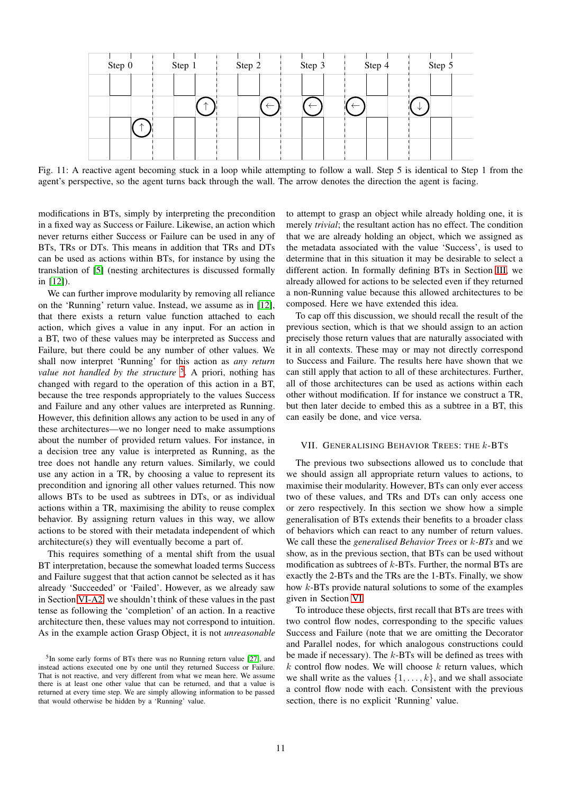| Step 0 | Step 1 | Step 2 | Step 3 | Step 4 | Step 5 |
|--------|--------|--------|--------|--------|--------|
|        |        |        |        |        |        |
|        |        |        |        |        |        |
|        |        |        |        |        |        |
|        |        |        |        |        |        |

Fig. 11: A reactive agent becoming stuck in a loop while attempting to follow a wall. Step 5 is identical to Step 1 from the agent's perspective, so the agent turns back through the wall. The arrow denotes the direction the agent is facing.

modifications in BTs, simply by interpreting the precondition in a fixed way as Success or Failure. Likewise, an action which never returns either Success or Failure can be used in any of BTs, TRs or DTs. This means in addition that TRs and DTs can be used as actions within BTs, for instance by using the translation of [\[5\]](#page-11-6) (nesting architectures is discussed formally in [\[12\]](#page-12-3)).

We can further improve modularity by removing all reliance on the 'Running' return value. Instead, we assume as in [\[12\]](#page-12-3), that there exists a return value function attached to each action, which gives a value in any input. For an action in a BT, two of these values may be interpreted as Success and Failure, but there could be any number of other values. We shall now interpret 'Running' for this action as *any return* value not handled by the structure <sup>[5](#page-10-1)</sup>. A priori, nothing has changed with regard to the operation of this action in a BT, because the tree responds appropriately to the values Success and Failure and any other values are interpreted as Running. However, this definition allows any action to be used in any of these architectures—we no longer need to make assumptions about the number of provided return values. For instance, in a decision tree any value is interpreted as Running, as the tree does not handle any return values. Similarly, we could use any action in a TR, by choosing a value to represent its precondition and ignoring all other values returned. This now allows BTs to be used as subtrees in DTs, or as individual actions within a TR, maximising the ability to reuse complex behavior. By assigning return values in this way, we allow actions to be stored with their metadata independent of which architecture(s) they will eventually become a part of.

This requires something of a mental shift from the usual BT interpretation, because the somewhat loaded terms Success and Failure suggest that that action cannot be selected as it has already 'Succeeded' or 'Failed'. However, as we already saw in Section [VI-A2,](#page-4-4) we shouldn't think of these values in the past tense as following the 'completion' of an action. In a reactive architecture then, these values may not correspond to intuition. As in the example action Grasp Object, it is not *unreasonable* to attempt to grasp an object while already holding one, it is merely *trivial*; the resultant action has no effect. The condition that we are already holding an object, which we assigned as the metadata associated with the value 'Success', is used to determine that in this situation it may be desirable to select a different action. In formally defining BTs in Section [III,](#page-1-1) we already allowed for actions to be selected even if they returned a non-Running value because this allowed architectures to be composed. Here we have extended this idea.

To cap off this discussion, we should recall the result of the previous section, which is that we should assign to an action precisely those return values that are naturally associated with it in all contexts. These may or may not directly correspond to Success and Failure. The results here have shown that we can still apply that action to all of these architectures. Further, all of those architectures can be used as actions within each other without modification. If for instance we construct a TR, but then later decide to embed this as a subtree in a BT, this can easily be done, and vice versa.

#### <span id="page-10-0"></span>VII. GENERALISING BEHAVIOR TREES: THE k-BTS

The previous two subsections allowed us to conclude that we should assign all appropriate return values to actions, to maximise their modularity. However, BTs can only ever access two of these values, and TRs and DTs can only access one or zero respectively. In this section we show how a simple generalisation of BTs extends their benefits to a broader class of behaviors which can react to any number of return values. We call these the *generalised Behavior Trees* or k*-BTs* and we show, as in the previous section, that BTs can be used without modification as subtrees of  $k$ -BTs. Further, the normal BTs are exactly the 2-BTs and the TRs are the 1-BTs. Finally, we show how k-BTs provide natural solutions to some of the examples given in Section [VI.](#page-4-0)

To introduce these objects, first recall that BTs are trees with two control flow nodes, corresponding to the specific values Success and Failure (note that we are omitting the Decorator and Parallel nodes, for which analogous constructions could be made if necessary). The  $k$ -BTs will be defined as trees with  $k$  control flow nodes. We will choose  $k$  return values, which we shall write as the values  $\{1, \ldots, k\}$ , and we shall associate a control flow node with each. Consistent with the previous section, there is no explicit 'Running' value.

<span id="page-10-1"></span><sup>&</sup>lt;sup>5</sup>In some early forms of BTs there was no Running return value [\[27\]](#page-12-16), and instead actions executed one by one until they returned Success or Failure. That is not reactive, and very different from what we mean here. We assume there is at least one other value that can be returned, and that a value is returned at every time step. We are simply allowing information to be passed that would otherwise be hidden by a 'Running' value.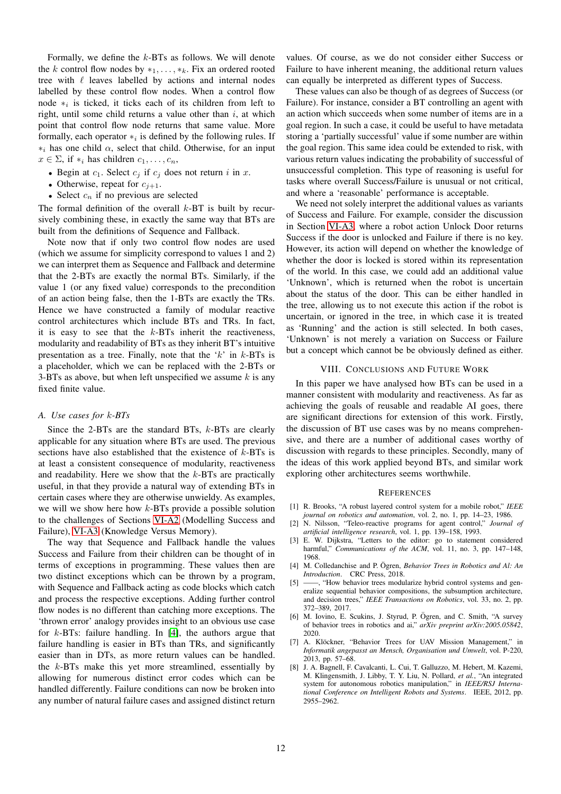Formally, we define the k-BTs as follows. We will denote the k control flow nodes by  $*_1, \ldots, *_k$ . Fix an ordered rooted tree with  $\ell$  leaves labelled by actions and internal nodes labelled by these control flow nodes. When a control flow node  $*_i$  is ticked, it ticks each of its children from left to right, until some child returns a value other than  $i$ , at which point that control flow node returns that same value. More formally, each operator  $*_i$  is defined by the following rules. If  $*_i$  has one child  $\alpha$ , select that child. Otherwise, for an input  $x \in \Sigma$ , if  $*_i$  has children  $c_1, \ldots, c_n$ ,

- Begin at  $c_1$ . Select  $c_j$  if  $c_j$  does not return i in x.
- Otherwise, repeat for  $c_{i+1}$ .
- Select  $c_n$  if no previous are selected

The formal definition of the overall  $k$ -BT is built by recursively combining these, in exactly the same way that BTs are built from the definitions of Sequence and Fallback.

Note now that if only two control flow nodes are used (which we assume for simplicity correspond to values 1 and 2) we can interpret them as Sequence and Fallback and determine that the 2-BTs are exactly the normal BTs. Similarly, if the value 1 (or any fixed value) corresponds to the precondition of an action being false, then the 1-BTs are exactly the TRs. Hence we have constructed a family of modular reactive control architectures which include BTs and TRs. In fact, it is easy to see that the  $k$ -BTs inherit the reactiveness, modularity and readability of BTs as they inherit BT's intuitive presentation as a tree. Finally, note that the ' $k$ ' in  $k$ -BTs is a placeholder, which we can be replaced with the 2-BTs or 3-BTs as above, but when left unspecified we assume  $k$  is any fixed finite value.

#### *A. Use cases for* k*-BTs*

Since the 2-BTs are the standard BTs, k-BTs are clearly applicable for any situation where BTs are used. The previous sections have also established that the existence of  $k$ -BTs is at least a consistent consequence of modularity, reactiveness and readability. Here we show that the k-BTs are practically useful, in that they provide a natural way of extending BTs in certain cases where they are otherwise unwieldy. As examples, we will we show here how k-BTs provide a possible solution to the challenges of Sections [VI-A2](#page-4-4) (Modelling Success and Failure), [VI-A3](#page-5-0) (Knowledge Versus Memory).

The way that Sequence and Fallback handle the values Success and Failure from their children can be thought of in terms of exceptions in programming. These values then are two distinct exceptions which can be thrown by a program, with Sequence and Fallback acting as code blocks which catch and process the respective exceptions. Adding further control flow nodes is no different than catching more exceptions. The 'thrown error' analogy provides insight to an obvious use case for  $k$ -BTs: failure handling. In [\[4\]](#page-11-3), the authors argue that failure handling is easier in BTs than TRs, and significantly easier than in DTs, as more return values can be handled. the k-BTs make this yet more streamlined, essentially by allowing for numerous distinct error codes which can be handled differently. Failure conditions can now be broken into any number of natural failure cases and assigned distinct return values. Of course, as we do not consider either Success or Failure to have inherent meaning, the additional return values can equally be interpreted as different types of Success.

These values can also be though of as degrees of Success (or Failure). For instance, consider a BT controlling an agent with an action which succeeds when some number of items are in a goal region. In such a case, it could be useful to have metadata storing a 'partially successful' value if some number are within the goal region. This same idea could be extended to risk, with various return values indicating the probability of successful of unsuccessful completion. This type of reasoning is useful for tasks where overall Success/Failure is unusual or not critical, and where a 'reasonable' performance is acceptable.

We need not solely interpret the additional values as variants of Success and Failure. For example, consider the discussion in Section [VI-A3,](#page-5-0) where a robot action Unlock Door returns Success if the door is unlocked and Failure if there is no key. However, its action will depend on whether the knowledge of whether the door is locked is stored within its representation of the world. In this case, we could add an additional value 'Unknown', which is returned when the robot is uncertain about the status of the door. This can be either handled in the tree, allowing us to not execute this action if the robot is uncertain, or ignored in the tree, in which case it is treated as 'Running' and the action is still selected. In both cases, 'Unknown' is not merely a variation on Success or Failure but a concept which cannot be be obviously defined as either.

#### VIII. CONCLUSIONS AND FUTURE WORK

<span id="page-11-8"></span>In this paper we have analysed how BTs can be used in a manner consistent with modularity and reactiveness. As far as achieving the goals of reusable and readable AI goes, there are significant directions for extension of this work. Firstly, the discussion of BT use cases was by no means comprehensive, and there are a number of additional cases worthy of discussion with regards to these principles. Secondly, many of the ideas of this work applied beyond BTs, and similar work exploring other architectures seems worthwhile.

#### **REFERENCES**

- <span id="page-11-0"></span>[1] R. Brooks, "A robust layered control system for a mobile robot," *IEEE journal on robotics and automation*, vol. 2, no. 1, pp. 14–23, 1986.
- <span id="page-11-1"></span>[2] N. Nilsson, "Teleo-reactive programs for agent control," *Journal of artificial intelligence research*, vol. 1, pp. 139–158, 1993.
- <span id="page-11-2"></span>[3] E. W. Dijkstra, "Letters to the editor: go to statement considered harmful," *Communications of the ACM*, vol. 11, no. 3, pp. 147–148, 1968.
- <span id="page-11-3"></span>[4] M. Colledanchise and P. Ögren, Behavior Trees in Robotics and Al: An *Introduction*. CRC Press, 2018.
- <span id="page-11-6"></span>[5] ——, "How behavior trees modularize hybrid control systems and generalize sequential behavior compositions, the subsumption architecture, and decision trees," *IEEE Transactions on Robotics*, vol. 33, no. 2, pp. 372–389, 2017.
- <span id="page-11-7"></span>[6] M. Iovino, E. Scukins, J. Styrud, P. Ögren, and C. Smith, "A survey of behavior trees in robotics and ai," *arXiv preprint arXiv:2005.05842*, 2020.
- <span id="page-11-4"></span>[7] A. Klöckner, "Behavior Trees for UAV Mission Management," in *Informatik angepasst an Mensch, Organisation und Umwelt*, vol. P-220, 2013, pp. 57–68.
- <span id="page-11-5"></span>[8] J. A. Bagnell, F. Cavalcanti, L. Cui, T. Galluzzo, M. Hebert, M. Kazemi, M. Klingensmith, J. Libby, T. Y. Liu, N. Pollard, *et al.*, "An integrated system for autonomous robotics manipulation," in *IEEE/RSJ International Conference on Intelligent Robots and Systems*. IEEE, 2012, pp. 2955–2962.